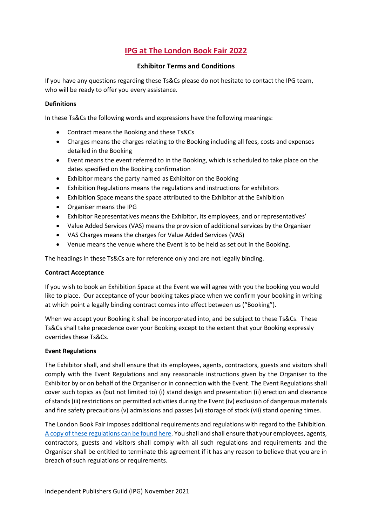# **IPG at The London Book Fair 2022**

# **Exhibitor Terms and Conditions**

If you have any questions regarding these Ts&Cs please do not hesitate to contact the IPG team, who will be ready to offer you every assistance.

# **Definitions**

In these Ts&Cs the following words and expressions have the following meanings:

- Contract means the Booking and these Ts&Cs
- Charges means the charges relating to the Booking including all fees, costs and expenses detailed in the Booking
- Event means the event referred to in the Booking, which is scheduled to take place on the dates specified on the Booking confirmation
- Exhibitor means the party named as Exhibitor on the Booking
- Exhibition Regulations means the regulations and instructions for exhibitors
- Exhibition Space means the space attributed to the Exhibitor at the Exhibition
- Organiser means the IPG
- Exhibitor Representatives means the Exhibitor, its employees, and or representatives'
- Value Added Services (VAS) means the provision of additional services by the Organiser
- VAS Charges means the charges for Value Added Services (VAS)
- Venue means the venue where the Event is to be held as set out in the Booking.

The headings in these Ts&Cs are for reference only and are not legally binding.

#### **Contract Acceptance**

If you wish to book an Exhibition Space at the Event we will agree with you the booking you would like to place. Our acceptance of your booking takes place when we confirm your booking in writing at which point a legally binding contract comes into effect between us ("Booking").

When we accept your Booking it shall be incorporated into, and be subject to these Ts&Cs. These Ts&Cs shall take precedence over your Booking except to the extent that your Booking expressly overrides these Ts&Cs.

#### **Event Regulations**

The Exhibitor shall, and shall ensure that its employees, agents, contractors, guests and visitors shall comply with the Event Regulations and any reasonable instructions given by the Organiser to the Exhibitor by or on behalf of the Organiser or in connection with the Event. The Event Regulations shall cover such topics as (but not limited to) (i) stand design and presentation (ii) erection and clearance of stands (iii) restrictions on permitted activities during the Event (iv) exclusion of dangerous materials and fire safety precautions (v) admissions and passes (vi) storage of stock (vii) stand opening times.

The London Book Fair imposes additional requirements and regulations with regard to the Exhibition. [A copy of these regulations can be found here.](https://independentpublishersguild.com/Common/Uploaded%20files/IPG%20document%20library/IPG%20document%20library/LBF22%20Addendum%20and%20Rules%20and%20Regs.pdf) You shall and shall ensure that your employees, agents, contractors, guests and visitors shall comply with all such regulations and requirements and the Organiser shall be entitled to terminate this agreement if it has any reason to believe that you are in breach of such regulations or requirements.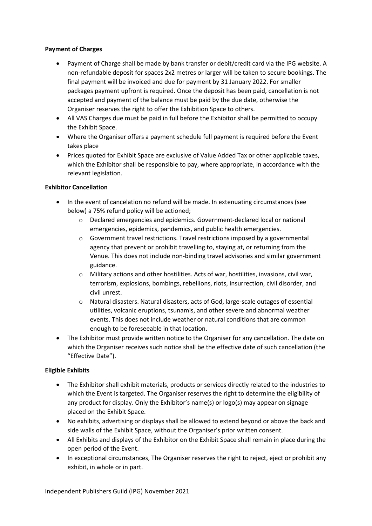# **Payment of Charges**

- Payment of Charge shall be made by bank transfer or debit/credit card via the IPG website. A non-refundable deposit for spaces 2x2 metres or larger will be taken to secure bookings. The final payment will be invoiced and due for payment by 31 January 2022. For smaller packages payment upfront is required. Once the deposit has been paid, cancellation is not accepted and payment of the balance must be paid by the due date, otherwise the Organiser reserves the right to offer the Exhibition Space to others.
- All VAS Charges due must be paid in full before the Exhibitor shall be permitted to occupy the Exhibit Space.
- Where the Organiser offers a payment schedule full payment is required before the Event takes place
- Prices quoted for Exhibit Space are exclusive of Value Added Tax or other applicable taxes, which the Exhibitor shall be responsible to pay, where appropriate, in accordance with the relevant legislation.

# **Exhibitor Cancellation**

- In the event of cancelation no refund will be made. In extenuating circumstances (see below) a 75% refund policy will be actioned;
	- o Declared emergencies and epidemics. Government-declared local or national emergencies, epidemics, pandemics, and public health emergencies.
	- o Government travel restrictions. Travel restrictions imposed by a governmental agency that prevent or prohibit travelling to, staying at, or returning from the Venue. This does not include non-binding travel advisories and similar government guidance.
	- o Military actions and other hostilities. Acts of war, hostilities, invasions, civil war, terrorism, explosions, bombings, rebellions, riots, insurrection, civil disorder, and civil unrest.
	- o Natural disasters. Natural disasters, acts of God, large-scale outages of essential utilities, volcanic eruptions, tsunamis, and other severe and abnormal weather events. This does not include weather or natural conditions that are common enough to be foreseeable in that location.
- The Exhibitor must provide written notice to the Organiser for any cancellation. The date on which the Organiser receives such notice shall be the effective date of such cancellation (the "Effective Date").

# **Eligible Exhibits**

- The Exhibitor shall exhibit materials, products or services directly related to the industries to which the Event is targeted. The Organiser reserves the right to determine the eligibility of any product for display. Only the Exhibitor's name(s) or logo(s) may appear on signage placed on the Exhibit Space.
- No exhibits, advertising or displays shall be allowed to extend beyond or above the back and side walls of the Exhibit Space, without the Organiser's prior written consent.
- All Exhibits and displays of the Exhibitor on the Exhibit Space shall remain in place during the open period of the Event.
- In exceptional circumstances, The Organiser reserves the right to reject, eject or prohibit any exhibit, in whole or in part.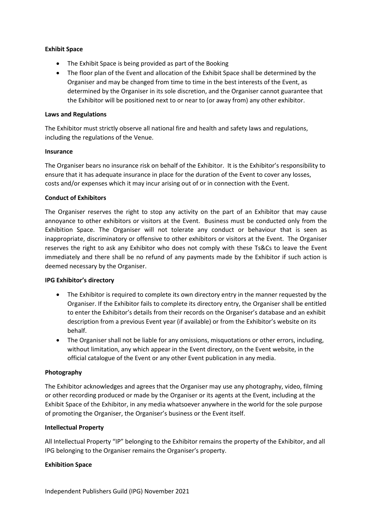#### **Exhibit Space**

- The Exhibit Space is being provided as part of the Booking
- The floor plan of the Event and allocation of the Exhibit Space shall be determined by the Organiser and may be changed from time to time in the best interests of the Event, as determined by the Organiser in its sole discretion, and the Organiser cannot guarantee that the Exhibitor will be positioned next to or near to (or away from) any other exhibitor.

# **Laws and Regulations**

The Exhibitor must strictly observe all national fire and health and safety laws and regulations, including the regulations of the Venue.

# **Insurance**

The Organiser bears no insurance risk on behalf of the Exhibitor. It is the Exhibitor's responsibility to ensure that it has adequate insurance in place for the duration of the Event to cover any losses, costs and/or expenses which it may incur arising out of or in connection with the Event.

# **Conduct of Exhibitors**

The Organiser reserves the right to stop any activity on the part of an Exhibitor that may cause annoyance to other exhibitors or visitors at the Event. Business must be conducted only from the Exhibition Space. The Organiser will not tolerate any conduct or behaviour that is seen as inappropriate, discriminatory or offensive to other exhibitors or visitors at the Event. The Organiser reserves the right to ask any Exhibitor who does not comply with these Ts&Cs to leave the Event immediately and there shall be no refund of any payments made by the Exhibitor if such action is deemed necessary by the Organiser.

#### **IPG Exhibitor's directory**

- The Exhibitor is required to complete its own directory entry in the manner requested by the Organiser. If the Exhibitor fails to complete its directory entry, the Organiser shall be entitled to enter the Exhibitor's details from their records on the Organiser's database and an exhibit description from a previous Event year (if available) or from the Exhibitor's website on its behalf.
- The Organiser shall not be liable for any omissions, misquotations or other errors, including, without limitation, any which appear in the Event directory, on the Event website, in the official catalogue of the Event or any other Event publication in any media.

#### **Photography**

The Exhibitor acknowledges and agrees that the Organiser may use any photography, video, filming or other recording produced or made by the Organiser or its agents at the Event, including at the Exhibit Space of the Exhibitor, in any media whatsoever anywhere in the world for the sole purpose of promoting the Organiser, the Organiser's business or the Event itself.

# **Intellectual Property**

All Intellectual Property "IP" belonging to the Exhibitor remains the property of the Exhibitor, and all IPG belonging to the Organiser remains the Organiser's property.

# **Exhibition Space**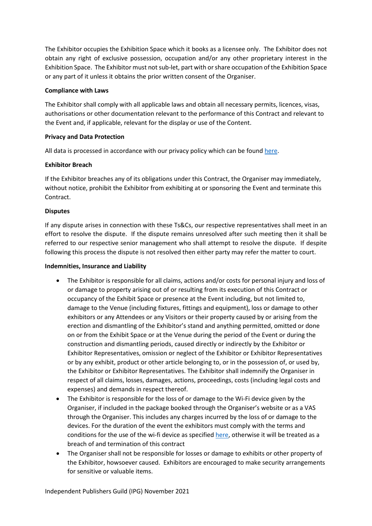The Exhibitor occupies the Exhibition Space which it books as a licensee only. The Exhibitor does not obtain any right of exclusive possession, occupation and/or any other proprietary interest in the Exhibition Space. The Exhibitor must not sub-let, part with or share occupation of the Exhibition Space or any part of it unless it obtains the prior written consent of the Organiser.

#### **Compliance with Laws**

The Exhibitor shall comply with all applicable laws and obtain all necessary permits, licences, visas, authorisations or other documentation relevant to the performance of this Contract and relevant to the Event and, if applicable, relevant for the display or use of the Content.

# **Privacy and Data Protection**

All data is processed in accordance with our privacy policy which can be foun[d here.](https://www.independentpublishersguild.com/IPG/Footer/Privacy-notice.aspx)

# **Exhibitor Breach**

If the Exhibitor breaches any of its obligations under this Contract, the Organiser may immediately, without notice, prohibit the Exhibitor from exhibiting at or sponsoring the Event and terminate this Contract.

# **Disputes**

If any dispute arises in connection with these Ts&Cs, our respective representatives shall meet in an effort to resolve the dispute. If the dispute remains unresolved after such meeting then it shall be referred to our respective senior management who shall attempt to resolve the dispute. If despite following this process the dispute is not resolved then either party may refer the matter to court.

#### **Indemnities, Insurance and Liability**

- The Exhibitor is responsible for all claims, actions and/or costs for personal injury and loss of or damage to property arising out of or resulting from its execution of this Contract or occupancy of the Exhibit Space or presence at the Event including, but not limited to, damage to the Venue (including fixtures, fittings and equipment), loss or damage to other exhibitors or any Attendees or any Visitors or their property caused by or arising from the erection and dismantling of the Exhibitor's stand and anything permitted, omitted or done on or from the Exhibit Space or at the Venue during the period of the Event or during the construction and dismantling periods, caused directly or indirectly by the Exhibitor or Exhibitor Representatives, omission or neglect of the Exhibitor or Exhibitor Representatives or by any exhibit, product or other article belonging to, or in the possession of, or used by, the Exhibitor or Exhibitor Representatives. The Exhibitor shall indemnify the Organiser in respect of all claims, losses, damages, actions, proceedings, costs (including legal costs and expenses) and demands in respect thereof.
- The Exhibitor is responsible for the loss of or damage to the Wi-Fi device given by the Organiser, if included in the package booked through the Organiser's website or as a VAS through the Organiser. This includes any charges incurred by the loss of or damage to the devices. For the duration of the event the exhibitors must comply with the terms and conditions for the use of the wi-fi device as specified [here,](https://www.my-webspot.com/terms-conditions/) otherwise it will be treated as a breach of and termination of this contract
- The Organiser shall not be responsible for losses or damage to exhibits or other property of the Exhibitor, howsoever caused. Exhibitors are encouraged to make security arrangements for sensitive or valuable items.